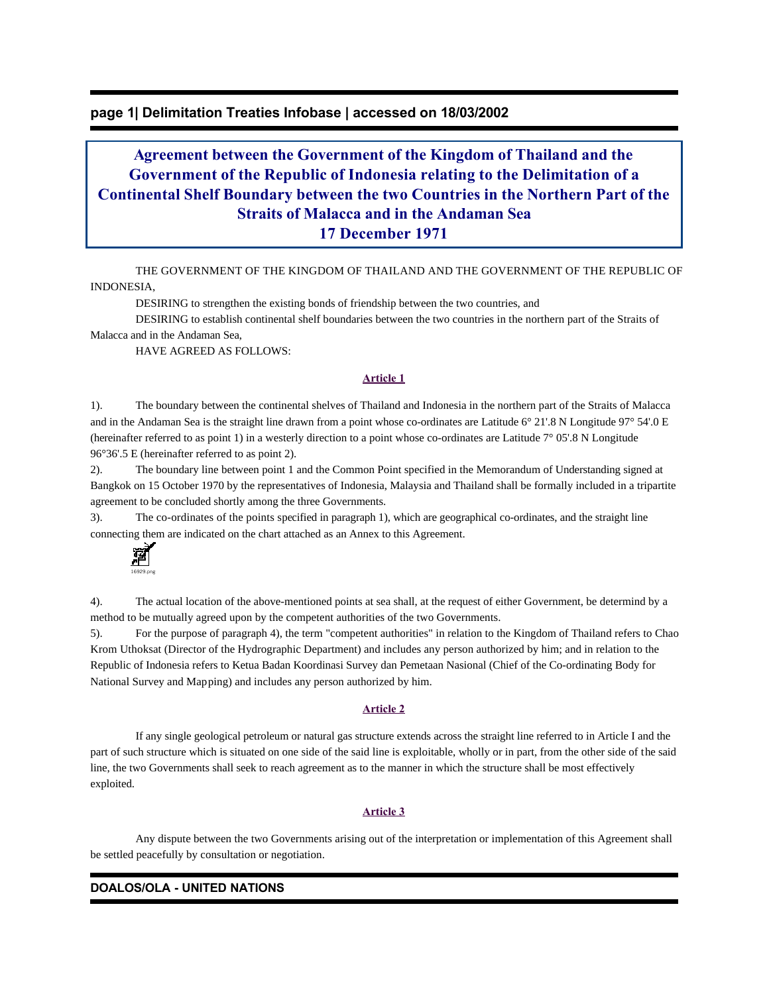## **page 1| Delimitation Treaties Infobase | accessed on 18/03/2002**

# **Agreement between the Government of the Kingdom of Thailand and the Government of the Republic of Indonesia relating to the Delimitation of a Continental Shelf Boundary between the two Countries in the Northern Part of the Straits of Malacca and in the Andaman Sea 17 December 1971**

 THE GOVERNMENT OF THE KINGDOM OF THAILAND AND THE GOVERNMENT OF THE REPUBLIC OF INDONESIA,

DESIRING to strengthen the existing bonds of friendship between the two countries, and

 DESIRING to establish continental shelf boundaries between the two countries in the northern part of the Straits of Malacca and in the Andaman Sea,

HAVE AGREED AS FOLLOWS:

## **Article 1**

1). The boundary between the continental shelves of Thailand and Indonesia in the northern part of the Straits of Malacca and in the Andaman Sea is the straight line drawn from a point whose co-ordinates are Latitude 6° 21'.8 N Longitude 97° 54'.0 E (hereinafter referred to as point 1) in a westerly direction to a point whose co-ordinates are Latitude 7° 05'.8 N Longitude 96°36'.5 E (hereinafter referred to as point 2).

2). The boundary line between point 1 and the Common Point specified in the Memorandum of Understanding signed at Bangkok on 15 October 1970 by the representatives of Indonesia, Malaysia and Thailand shall be formally included in a tripartite agreement to be concluded shortly among the three Governments.

3). The co-ordinates of the points specified in paragraph 1), which are geographical co-ordinates, and the straight line connecting them are indicated on the chart attached as an Annex to this Agreement.



4). The actual location of the above-mentioned points at sea shall, at the request of either Government, be determind by a method to be mutually agreed upon by the competent authorities of the two Governments.

5). For the purpose of paragraph 4), the term "competent authorities" in relation to the Kingdom of Thailand refers to Chao Krom Uthoksat (Director of the Hydrographic Department) and includes any person authorized by him; and in relation to the Republic of Indonesia refers to Ketua Badan Koordinasi Survey dan Pemetaan Nasional (Chief of the Co-ordinating Body for National Survey and Mapping) and includes any person authorized by him.

#### **Article 2**

 If any single geological petroleum or natural gas structure extends across the straight line referred to in Article I and the part of such structure which is situated on one side of the said line is exploitable, wholly or in part, from the other side of the said line, the two Governments shall seek to reach agreement as to the manner in which the structure shall be most effectively exploited.

#### **Article 3**

 Any dispute between the two Governments arising out of the interpretation or implementation of this Agreement shall be settled peacefully by consultation or negotiation.

#### **DOALOS/OLA - UNITED NATIONS**